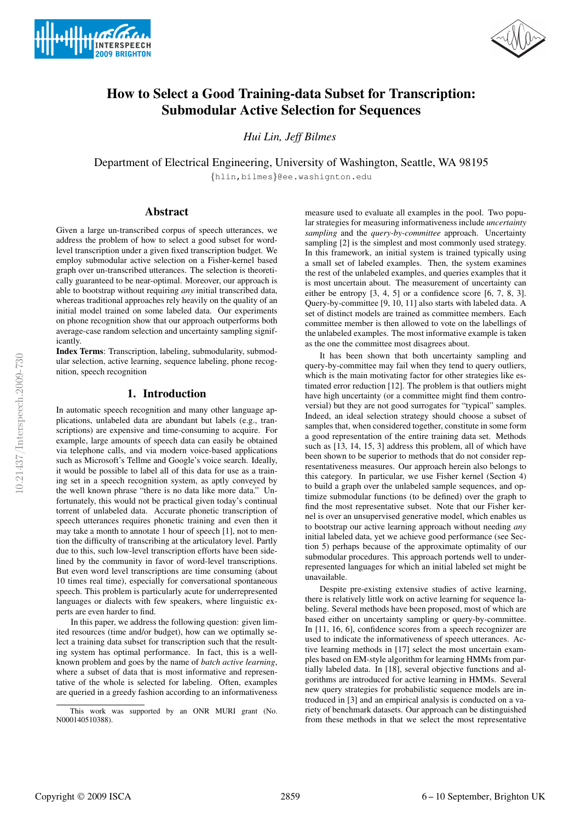



# How to Select a Good Training-data Subset for Transcription: Submodular Active Selection for Sequences

*Hui Lin, Jeff Bilmes*

Department of Electrical Engineering, University of Washington, Seattle, WA 98195 {hlin,bilmes}@ee.washignton.edu

## Abstract

Given a large un-transcribed corpus of speech utterances, we address the problem of how to select a good subset for wordlevel transcription under a given fixed transcription budget. We employ submodular active selection on a Fisher-kernel based graph over un-transcribed utterances. The selection is theoretically guaranteed to be near-optimal. Moreover, our approach is able to bootstrap without requiring *any* initial transcribed data, whereas traditional approaches rely heavily on the quality of an initial model trained on some labeled data. Our experiments on phone recognition show that our approach outperforms both average-case random selection and uncertainty sampling significantly.

Index Terms: Transcription, labeling, submodularity, submodular selection, active learning, sequence labeling, phone recognition, speech recognition

# 1. Introduction

In automatic speech recognition and many other language applications, unlabeled data are abundant but labels (e.g., transcriptions) are expensive and time-consuming to acquire. For example, large amounts of speech data can easily be obtained via telephone calls, and via modern voice-based applications such as Microsoft's Tellme and Google's voice search. Ideally, it would be possible to label all of this data for use as a training set in a speech recognition system, as aptly conveyed by the well known phrase "there is no data like more data." Unfortunately, this would not be practical given today's continual torrent of unlabeled data. Accurate phonetic transcription of speech utterances requires phonetic training and even then it may take a month to annotate 1 hour of speech [1], not to mention the difficulty of transcribing at the articulatory level. Partly due to this, such low-level transcription efforts have been sidelined by the community in favor of word-level transcriptions. But even word level transcriptions are time consuming (about 10 times real time), especially for conversational spontaneous speech. This problem is particularly acute for underrepresented languages or dialects with few speakers, where linguistic experts are even harder to find.

In this paper, we address the following question: given limited resources (time and/or budget), how can we optimally select a training data subset for transcription such that the resulting system has optimal performance. In fact, this is a wellknown problem and goes by the name of *batch active learning*, where a subset of data that is most informative and representative of the whole is selected for labeling. Often, examples are queried in a greedy fashion according to an informativeness

measure used to evaluate all examples in the pool. Two popular strategies for measuring informativeness include *uncertainty sampling* and the *query-by-committee* approach. Uncertainty sampling [2] is the simplest and most commonly used strategy. In this framework, an initial system is trained typically using a small set of labeled examples. Then, the system examines the rest of the unlabeled examples, and queries examples that it is most uncertain about. The measurement of uncertainty can either be entropy [3, 4, 5] or a confidence score [6, 7, 8, 3]. Query-by-committee [9, 10, 11] also starts with labeled data. A set of distinct models are trained as committee members. Each committee member is then allowed to vote on the labellings of the unlabeled examples. The most informative example is taken as the one the committee most disagrees about.

It has been shown that both uncertainty sampling and query-by-committee may fail when they tend to query outliers, which is the main motivating factor for other strategies like estimated error reduction [12]. The problem is that outliers might have high uncertainty (or a committee might find them controversial) but they are not good surrogates for "typical" samples. Indeed, an ideal selection strategy should choose a subset of samples that, when considered together, constitute in some form a good representation of the entire training data set. Methods such as [13, 14, 15, 3] address this problem, all of which have been shown to be superior to methods that do not consider representativeness measures. Our approach herein also belongs to this category. In particular, we use Fisher kernel (Section 4) to build a graph over the unlabeled sample sequences, and optimize submodular functions (to be defined) over the graph to find the most representative subset. Note that our Fisher kernel is over an unsupervised generative model, which enables us to bootstrap our active learning approach without needing *any* initial labeled data, yet we achieve good performance (see Section 5) perhaps because of the approximate optimality of our submodular procedures. This approach portends well to underrepresented languages for which an initial labeled set might be unavailable.

Despite pre-existing extensive studies of active learning, there is relatively little work on active learning for sequence labeling. Several methods have been proposed, most of which are based either on uncertainty sampling or query-by-committee. In [11, 16, 6], confidence scores from a speech recognizer are used to indicate the informativeness of speech utterances. Active learning methods in [17] select the most uncertain examples based on EM-style algorithm for learning HMMs from partially labeled data. In [18], several objective functions and algorithms are introduced for active learning in HMMs. Several new query strategies for probabilistic sequence models are introduced in [3] and an empirical analysis is conducted on a variety of benchmark datasets. Our approach can be distinguished from these methods in that we select the most representative

This work was supported by an ONR MURI grant (No. N000140510388).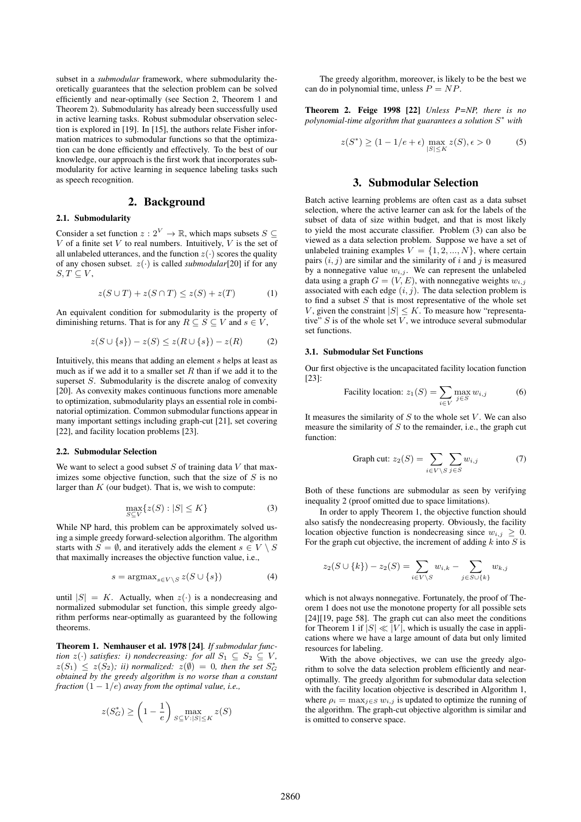subset in a *submodular* framework, where submodularity theoretically guarantees that the selection problem can be solved efficiently and near-optimally (see Section 2, Theorem 1 and Theorem 2). Submodularity has already been successfully used in active learning tasks. Robust submodular observation selection is explored in [19]. In [15], the authors relate Fisher information matrices to submodular functions so that the optimization can be done efficiently and effectively. To the best of our knowledge, our approach is the first work that incorporates submodularity for active learning in sequence labeling tasks such as speech recognition.

## 2. Background

#### 2.1. Submodularity

Consider a set function  $z: 2^V \to \mathbb{R}$ , which maps subsets  $S \subseteq$ V of a finite set V to real numbers. Intuitively, V is the set of all unlabeled utterances, and the function  $z(\cdot)$  scores the quality of any chosen subset.  $z(\cdot)$  is called *submodular*[20] if for any  $S, T \subseteq V$ ,

$$
z(S \cup T) + z(S \cap T) \le z(S) + z(T) \tag{1}
$$

An equivalent condition for submodularity is the property of diminishing returns. That is for any  $R \subseteq S \subseteq V$  and  $s \in V$ ,

$$
z(S \cup \{s\}) - z(S) \le z(R \cup \{s\}) - z(R) \tag{2}
$$

Intuitively, this means that adding an element s helps at least as much as if we add it to a smaller set  $R$  than if we add it to the superset S. Submodularity is the discrete analog of convexity [20]. As convexity makes continuous functions more amenable to optimization, submodularity plays an essential role in combinatorial optimization. Common submodular functions appear in many important settings including graph-cut [21], set covering [22], and facility location problems [23].

#### 2.2. Submodular Selection

We want to select a good subset  $S$  of training data  $V$  that maximizes some objective function, such that the size of  $S$  is no larger than  $K$  (our budget). That is, we wish to compute:

$$
\max_{S \subseteq V} \{ z(S) : |S| \le K \} \tag{3}
$$

While NP hard, this problem can be approximately solved using a simple greedy forward-selection algorithm. The algorithm starts with  $S = \emptyset$ , and iteratively adds the element  $s \in V \setminus S$ that maximally increases the objective function value, i.e.,

$$
s = \operatorname{argmax}_{s \in V \backslash S} z(S \cup \{s\}) \tag{4}
$$

until  $|S| = K$ . Actually, when  $z(\cdot)$  is a nondecreasing and normalized submodular set function, this simple greedy algorithm performs near-optimally as guaranteed by the following theorems.

Theorem 1. Nemhauser et al. 1978 [24]*. If submodular function*  $z(\cdot)$  *satisfies: i) nondecreasing: for all*  $S_1 \subseteq S_2 \subseteq V$ *,*  $z(S_1) \leq z(S_2)$ ; *ii*) normalized:  $z(\emptyset) = 0$ , then the set  $S_G^*$ *obtained by the greedy algorithm is no worse than a constant fraction*  $(1 - 1/e)$  *away from the optimal value, i.e.,* 

$$
z(S_G^*) \ge \left(1 - \frac{1}{e}\right) \max_{S \subseteq V: |S| \le K} z(S)
$$

The greedy algorithm, moreover, is likely to be the best we can do in polynomial time, unless  $P = NP$ .

Theorem 2. Feige 1998 [22] *Unless P=NP, there is no polynomial-time algorithm that guarantees a solution* S <sup>∗</sup> *with*

$$
z(S^*) \ge (1 - 1/e + \epsilon) \max_{|S| \le K} z(S), \epsilon > 0
$$
 (5)

### 3. Submodular Selection

Batch active learning problems are often cast as a data subset selection, where the active learner can ask for the labels of the subset of data of size within budget, and that is most likely to yield the most accurate classifier. Problem (3) can also be viewed as a data selection problem. Suppose we have a set of unlabeled training examples  $V = \{1, 2, ..., N\}$ , where certain pairs  $(i, j)$  are similar and the similarity of i and j is measured by a nonnegative value  $w_{i,j}$ . We can represent the unlabeled data using a graph  $G = (V, E)$ , with nonnegative weights  $w_{i,j}$ associated with each edge  $(i, j)$ . The data selection problem is to find a subset  $S$  that is most representative of the whole set V, given the constraint  $|S| \leq K$ . To measure how "representative"  $S$  is of the whole set  $V$ , we introduce several submodular set functions.

#### 3.1. Submodular Set Functions

Our first objective is the uncapacitated facility location function [23]:

Facility location: 
$$
z_1(S) = \sum_{i \in V} \max_{j \in S} w_{i,j}
$$
 (6)

It measures the similarity of  $S$  to the whole set  $V$ . We can also measure the similarity of  $S$  to the remainder, i.e., the graph cut function:

Graph cut: 
$$
z_2(S) = \sum_{i \in V \setminus S} \sum_{j \in S} w_{i,j}
$$
 (7)

Both of these functions are submodular as seen by verifying inequality 2 (proof omitted due to space limitations).

In order to apply Theorem 1, the objective function should also satisfy the nondecreasing property. Obviously, the facility location objective function is nondecreasing since  $w_{i,j} \geq 0$ . For the graph cut objective, the increment of adding  $k$  into  $S$  is

$$
z_2(S \cup \{k\}) - z_2(S) = \sum_{i \in V \setminus S} w_{i,k} - \sum_{j \in S \cup \{k\}} w_{k,j}
$$

which is not always nonnegative. Fortunately, the proof of Theorem 1 does not use the monotone property for all possible sets [24][19, page 58]. The graph cut can also meet the conditions for Theorem 1 if  $|S| \ll |V|$ , which is usually the case in applications where we have a large amount of data but only limited resources for labeling.

With the above objectives, we can use the greedy algorithm to solve the data selection problem efficiently and nearoptimally. The greedy algorithm for submodular data selection with the facility location objective is described in Algorithm 1, where  $\rho_i = \max_{i \in S} w_{i,j}$  is updated to optimize the running of the algorithm. The graph-cut objective algorithm is similar and is omitted to conserve space.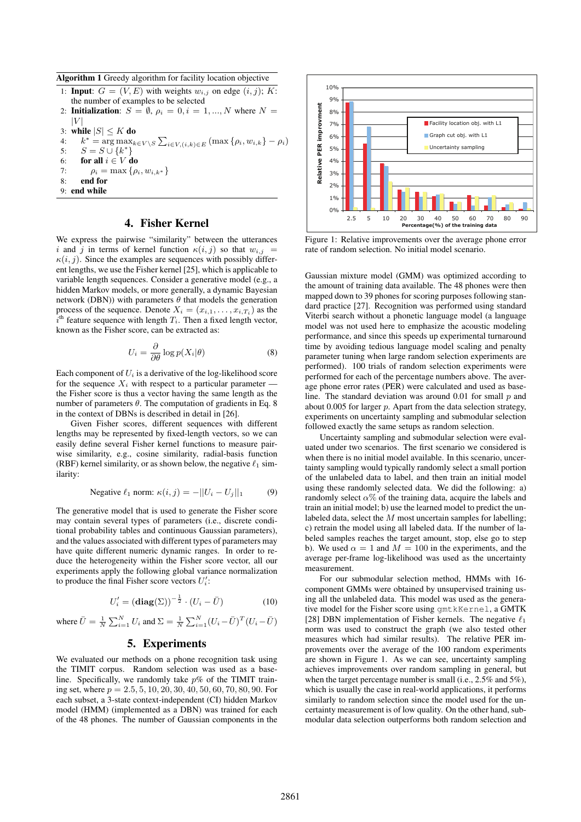Algorithm 1 Greedy algorithm for facility location objective

- 1: **Input**:  $G = (V, E)$  with weights  $w_{i,j}$  on edge  $(i, j)$ ; K: the number of examples to be selected 2: Initialization:  $S = \emptyset$ ,  $\rho_i = 0$ ,  $i = 1, ..., N$  where  $N =$
- $|V|$
- 3: while  $|S| \leq K$  do<br>4:  $k^* = \arg \max_k$
- 4:  $k^* = \arg \max_{k \in V \setminus S} \sum_{i \in V, (i,k) \in E} (\max \{\rho_i, w_{i,k}\} \rho_i)$
- 5:  $S = S \cup \{k^*\}$
- 6: for all  $i \in V$  do <br>7:  $\alpha_i = \max_{\alpha_i} \{ \alpha_i \}$
- 7:  $\rho_i = \max \{\rho_i, w_{i,k^*}\}$ <br>8: **end for** end for
- 9: end while

# 4. Fisher Kernel

We express the pairwise "similarity" between the utterances i and j in terms of kernel function  $\kappa(i, j)$  so that  $w_{i,j}$  =  $\kappa(i, j)$ . Since the examples are sequences with possibly different lengths, we use the Fisher kernel [25], which is applicable to variable length sequences. Consider a generative model (e.g., a hidden Markov models, or more generally, a dynamic Bayesian network (DBN)) with parameters  $\theta$  that models the generation process of the sequence. Denote  $X_i = (x_{i,1}, \ldots, x_{i,T_i})$  as the  $\tilde{i}$ <sup>th</sup> feature sequence with length  $T_i$ . Then a fixed length vector, known as the Fisher score, can be extracted as:

$$
U_i = \frac{\partial}{\partial \theta} \log p(X_i | \theta)
$$
 (8)

Each component of  $U_i$  is a derivative of the log-likelihood score for the sequence  $X_i$  with respect to a particular parameter – the Fisher score is thus a vector having the same length as the number of parameters  $\theta$ . The computation of gradients in Eq. 8 in the context of DBNs is described in detail in [26].

Given Fisher scores, different sequences with different lengths may be represented by fixed-length vectors, so we can easily define several Fisher kernel functions to measure pairwise similarity, e.g., cosine similarity, radial-basis function (RBF) kernel similarity, or as shown below, the negative  $\ell_1$  similarity:

Negative 
$$
\ell_1
$$
 norm:  $\kappa(i, j) = -||U_i - U_j||_1$  (9)

The generative model that is used to generate the Fisher score may contain several types of parameters (i.e., discrete conditional probability tables and continuous Gaussian parameters), and the values associated with different types of parameters may have quite different numeric dynamic ranges. In order to reduce the heterogeneity within the Fisher score vector, all our experiments apply the following global variance normalization to produce the final Fisher score vectors  $U_i'$ :

$$
U_i' = (\mathbf{diag}(\Sigma))^{-\frac{1}{2}} \cdot (U_i - \bar{U}) \tag{10}
$$

where 
$$
\overline{U} = \frac{1}{N} \sum_{i=1}^{N} U_i
$$
 and  $\Sigma = \frac{1}{N} \sum_{i=1}^{N} (U_i - \overline{U})^T (U_i - \overline{U})$ 

# 5. Experiments

We evaluated our methods on a phone recognition task using the TIMIT corpus. Random selection was used as a baseline. Specifically, we randomly take  $p\%$  of the TIMIT training set, where  $p = 2.5, 5, 10, 20, 30, 40, 50, 60, 70, 80, 90$ . For each subset, a 3-state context-independent (CI) hidden Markov model (HMM) (implemented as a DBN) was trained for each of the 48 phones. The number of Gaussian components in the



Figure 1: Relative improvements over the average phone error rate of random selection. No initial model scenario.

Gaussian mixture model (GMM) was optimized according to the amount of training data available. The 48 phones were then mapped down to 39 phones for scoring purposes following standard practice [27]. Recognition was performed using standard Viterbi search without a phonetic language model (a language model was not used here to emphasize the acoustic modeling performance, and since this speeds up experimental turnaround time by avoiding tedious language model scaling and penalty parameter tuning when large random selection experiments are performed). 100 trials of random selection experiments were performed for each of the percentage numbers above. The average phone error rates (PER) were calculated and used as baseline. The standard deviation was around 0.01 for small  $p$  and about  $0.005$  for larger  $p$ . Apart from the data selection strategy, experiments on uncertainty sampling and submodular selection followed exactly the same setups as random selection.

Uncertainty sampling and submodular selection were evaluated under two scenarios. The first scenario we considered is when there is no initial model available. In this scenario, uncertainty sampling would typically randomly select a small portion of the unlabeled data to label, and then train an initial model using these randomly selected data. We did the following: a) randomly select  $\alpha$ % of the training data, acquire the labels and train an initial model; b) use the learned model to predict the unlabeled data, select the  $M$  most uncertain samples for labelling; c) retrain the model using all labeled data. If the number of labeled samples reaches the target amount, stop, else go to step b). We used  $\alpha = 1$  and  $M = 100$  in the experiments, and the average per-frame log-likelihood was used as the uncertainty measurement.

For our submodular selection method, HMMs with 16 component GMMs were obtained by unsupervised training using all the unlabeled data. This model was used as the generative model for the Fisher score using gmtkKernel, a GMTK [28] DBN implementation of Fisher kernels. The negative  $\ell_1$ norm was used to construct the graph (we also tested other measures which had similar results). The relative PER improvements over the average of the 100 random experiments are shown in Figure 1. As we can see, uncertainty sampling achieves improvements over random sampling in general, but when the target percentage number is small (i.e., 2.5% and 5%), which is usually the case in real-world applications, it performs similarly to random selection since the model used for the uncertainty measurement is of low quality. On the other hand, submodular data selection outperforms both random selection and